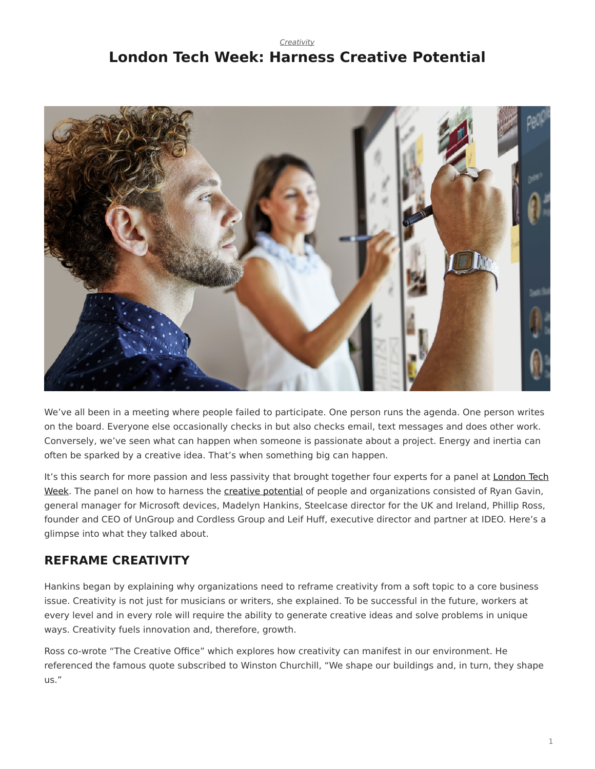#### *[Creativity](https://www.steelcase.com/research/topics/creativity/)*

# <span id="page-0-0"></span>**London Tech Week: Harness Creative Potential**



We've all been in a meeting where people failed to participate. One person runs the agenda. One person writes on the board. Everyone else occasionally checks in but also checks email, text messages and does other work. Conversely, we've seen what can happen when someone is passionate about a project. Energy and inertia can often be sparked by a creative idea. That's when something big can happen.

It's this search for more passion and less passivity that brought together four experts for a panel at [London Tech](https://londontechweek.com/) [Week.](https://londontechweek.com/) The panel on how to harness the [creative potential](https://www.steelcase.com/research/articles/topics/technology/watch-unlocking-peoples-creative-potential-work/) of people and organizations consisted of Ryan Gavin, general manager for Microsoft devices, Madelyn Hankins, Steelcase director for the UK and Ireland, Phillip Ross, founder and CEO of UnGroup and Cordless Group and Leif Huff, executive director and partner at IDEO. Here's a glimpse into what they talked about.

### **REFRAME CREATIVITY**

Hankins began by explaining why organizations need to reframe creativity from a soft topic to a core business issue. Creativity is not just for musicians or writers, she explained. To be successful in the future, workers at every level and in every role will require the ability to generate creative ideas and solve problems in unique ways. Creativity fuels innovation and, therefore, growth.

Ross co-wrote "The Creative Office" which explores how creativity can manifest in our environment. He referenced the famous quote subscribed to Winston Churchill, "We shape our buildings and, in turn, they shape us."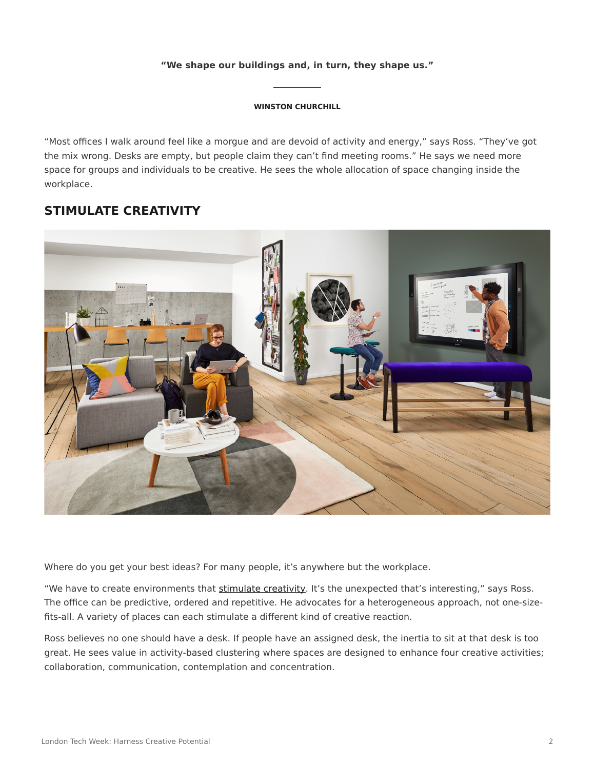### **"We shape our buildings and, in turn, they shape us."**

#### **WINSTON CHURCHILL**

"Most offices I walk around feel like a morgue and are devoid of activity and energy," says Ross. "They've got the mix wrong. Desks are empty, but people claim they can't find meeting rooms." He says we need more space for groups and individuals to be creative. He sees the whole allocation of space changing inside the workplace.

### **STIMULATE CREATIVITY**



Where do you get your best ideas? For many people, it's anywhere but the workplace.

"We have to create environments that [stimulate creativity.](https://www.steelcase.com/research/articles/topics/innovation/creating-conditions-for-creativity-in-the-workplace/) It's the unexpected that's interesting," says Ross. The office can be predictive, ordered and repetitive. He advocates for a heterogeneous approach, not one-sizefits-all. A variety of places can each stimulate a different kind of creative reaction.

Ross believes no one should have a desk. If people have an assigned desk, the inertia to sit at that desk is too great. He sees value in activity-based clustering where spaces are designed to enhance four creative activities; collaboration, communication, contemplation and concentration.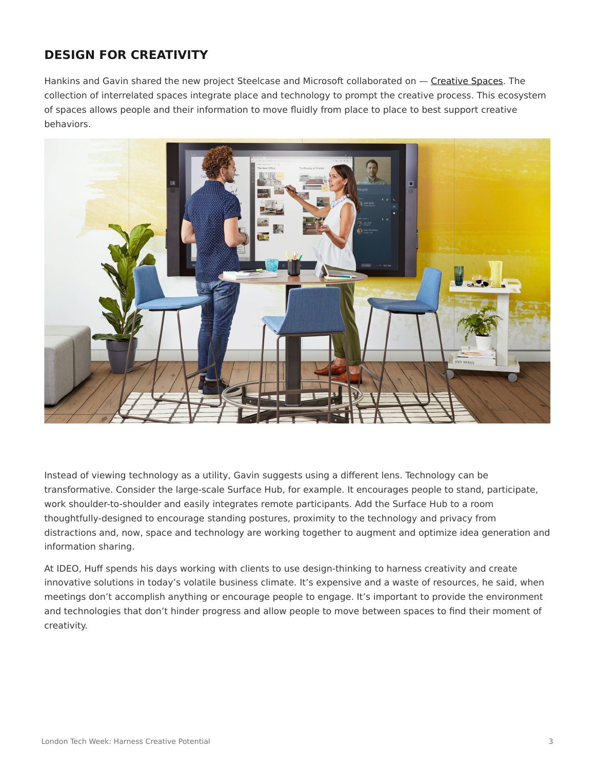## **DESIGN FOR CREATIVITY**

Hankins and Gavin shared the new project Steelcase and Microsoft collaborated on - [Creative Spaces.](https://www.steelcase.com/microsoft-steelcase/creativity/) The collection of interrelated spaces integrate place and technology to prompt the creative process. This ecosystem of spaces allows people and their information to move fluidly from place to place to best support creative behaviors.



Instead of viewing technology as a utility, Gavin suggests using a different lens. Technology can be transformative. Consider the large-scale Surface Hub, for example. It encourages people to stand, participate, work shoulder-to-shoulder and easily integrates remote participants. Add the Surface Hub to a room thoughtfully-designed to encourage standing postures, proximity to the technology and privacy from distractions and, now, space and technology are working together to augment and optimize idea generation and information sharing.

At IDEO, Huff spends his days working with clients to use design-thinking to harness creativity and create innovative solutions in today's volatile business climate. It's expensive and a waste of resources, he said, when meetings don't accomplish anything or encourage people to engage. It's important to provide the environment and technologies that don't hinder progress and allow people to move between spaces to find their moment of creativity.